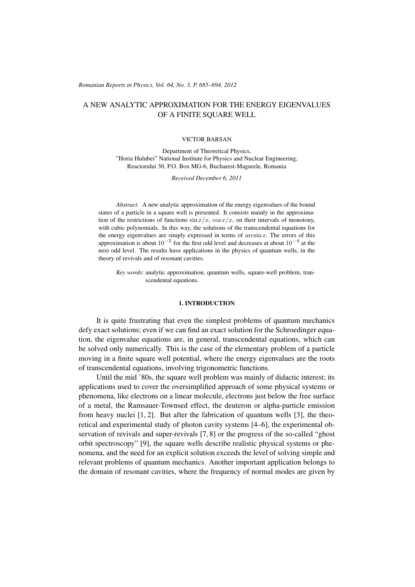#### (c) RRP 64(No. 3) 685–694 2012 *Romanian Reports in Physics, Vol. 64, No. 3, P. 685–694, 2012*

# A NEW ANALYTIC APPROXIMATION FOR THE ENERGY EIGENVALUES OF A FINITE SQUARE WELL

#### VICTOR BARSAN

Department of Theoretical Physics, "Horia Hulubei" National Institute for Physics and Nuclear Engineering, Reactorului 30, P.O. Box MG-6, Bucharest-Magurele, Romania

*Received December 6, 2011*

*Abstract.* A new analytic approximation of the energy eigenvalues of the bound states of a particle in a square well is presented. It consists mainly in the approximation of the restrictions of functions  $\sin x/x$ ,  $\cos x/x$ , on their intervals of monotony, with cubic polynomials. In this way, the solutions of the transcendental equations for the energy eigenvalues are simply expressed in terms of  $\arcsin x$ . The errors of this approximation is about  $10^{-2}$  for the first odd level and decreases at about  $10^{-4}$  at the next odd level. The results have applications in the physics of quantum wells, in the theory of revivals and of resonant cavities.

*Key words*: analytic approximation, quantum wells, square-well problem, transcendental equations.

### 1. INTRODUCTION

It is quite frustrating that even the simplest problems of quantum mechanics defy exact solutions; even if we can find an exact solution for the Schroedinger equation, the eigenvalue equations are, in general, transcendental equations, which can be solved only numerically. This is the case of the elementary problem of a particle moving in a finite square well potential, where the energy eigenvalues are the roots of transcendental equations, involving trigonometric functions.

Until the mid '80s, the square well problem was mainly of didactic interest; its applications used to cover the oversimplified approach of some physical systems or phenomena, like electrons on a linear molecule, electrons just below the free surface of a metal, the Ramsauer-Townsed effect, the deuteron or alpha-particle emission from heavy nuclei [1, 2]. But after the fabrication of quantum wells [3], the theoretical and experimental study of photon cavity systems [4–6], the experimental observation of revivals and super-revivals [7, 8] or the progress of the so-called "ghost orbit spectroscopy" [9], the square wells describe realistic physical systems or phenomena, and the need for an explicit solution exceeds the level of solving simple and relevant problems of quantum mechanics. Another important application belongs to the domain of resonant cavities, where the frequency of normal modes are given by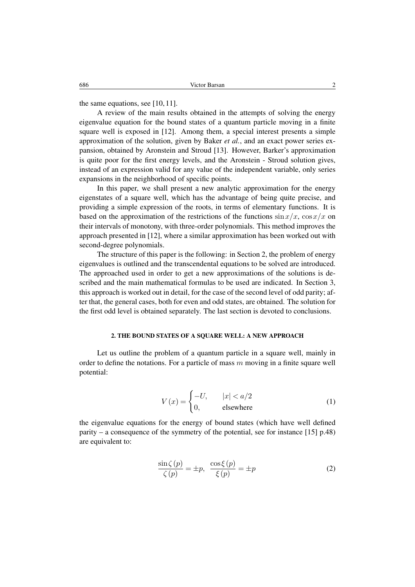the same equations, see [10, 11].

A review of the main results obtained in the attempts of solving the energy eigenvalue equation for the bound states of a quantum particle moving in a finite square well is exposed in [12]. Among them, a special interest presents a simple approximation of the solution, given by Baker *et al.*, and an exact power series expansion, obtained by Aronstein and Stroud [13]. However, Barker's approximation is quite poor for the first energy levels, and the Aronstein - Stroud solution gives, instead of an expression valid for any value of the independent variable, only series expansions in the neighborhood of specific points.

In this paper, we shall present a new analytic approximation for the energy eigenstates of a square well, which has the advantage of being quite precise, and providing a simple expression of the roots, in terms of elementary functions. It is based on the approximation of the restrictions of the functions  $\sin(x)/x$ ,  $\cos(x)/x$  on their intervals of monotony, with three-order polynomials. This method improves the approach presented in [12], where a similar approximation has been worked out with second-degree polynomials.

The structure of this paper is the following: in Section 2, the problem of energy eigenvalues is outlined and the transcendental equations to be solved are introduced. The approached used in order to get a new approximations of the solutions is described and the main mathematical formulas to be used are indicated. In Section 3, this approach is worked out in detail, for the case of the second level of odd parity; after that, the general cases, both for even and odd states, are obtained. The solution for the first odd level is obtained separately. The last section is devoted to conclusions.

### 2. THE BOUND STATES OF A SQUARE WELL: A NEW APPROACH

Let us outline the problem of a quantum particle in a square well, mainly in order to define the notations. For a particle of mass  $m$  moving in a finite square well potential:

$$
V(x) = \begin{cases} -U, & |x| < a/2\\ 0, & \text{elsewhere} \end{cases}
$$
 (1)

the eigenvalue equations for the energy of bound states (which have well defined parity – a consequence of the symmetry of the potential, see for instance  $[15]$  p.48) are equivalent to:

$$
\frac{\sin \zeta(p)}{\zeta(p)} = \pm p, \quad \frac{\cos \xi(p)}{\xi(p)} = \pm p \tag{2}
$$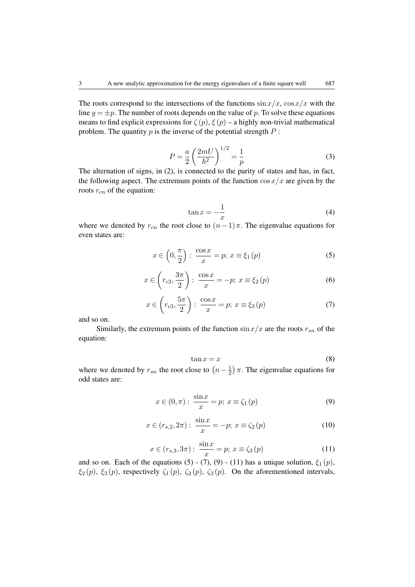The roots correspond to the intersections of the functions  $\sin x/x$ ,  $\cos x/x$  with the line  $y = \pm p$ . The number of roots depends on the value of p. To solve these equations means to find explicit expressions for  $\zeta(p)$ ,  $\xi(p)$  – a highly non-trivial mathematical problem. The quantity  $p$  is the inverse of the potential strength  $P$ :

$$
P = \frac{a}{2} \left(\frac{2mU}{\hbar^2}\right)^{1/2} = \frac{1}{p}
$$
 (3)

The alternation of signs, in (2), is connected to the parity of states and has, in fact, the following aspect. The extremum points of the function  $\cos x/x$  are given by the roots  $r_{cn}$  of the equation:

$$
\tan x = -\frac{1}{x} \tag{4}
$$

where we denoted by  $r_{cn}$  the root close to  $(n-1)\pi$ . The eigenvalue equations for even states are:

$$
x \in \left(0, \frac{\pi}{2}\right) : \frac{\cos x}{x} = p; \ x \equiv \xi_1(p) \tag{5}
$$

$$
x \in \left(r_{c2}, \frac{3\pi}{2}\right): \frac{\cos x}{x} = -p; x \equiv \xi_2(p)
$$
 (6)

$$
x \in \left(r_{c3}, \frac{5\pi}{2}\right) : \frac{\cos x}{x} = p; \ x \equiv \xi_3(p) \tag{7}
$$

and so on.

Similarly, the extremum points of the function  $\sin(x/x)$  are the roots  $r_{sn}$  of the equation:

$$
\tan x = x \tag{8}
$$

where we denoted by  $r_{sn}$  the root close to  $\left(n-\frac{1}{2}\right)$  $(\frac{1}{2})\pi$ . The eigenvalue equations for odd states are:

$$
x \in (0, \pi): \frac{\sin x}{x} = p; \ x \equiv \zeta_1(p)
$$
 (9)

$$
x \in (r_{s,2}, 2\pi) : \frac{\sin x}{x} = -p; \ x \equiv \zeta_2(p) \tag{10}
$$

$$
x \in (r_{s,3}, 3\pi) : \frac{\sin x}{x} = p; \ x \equiv \zeta_3(p) \tag{11}
$$

and so on. Each of the equations (5) - (7), (9) - (11) has a unique solution,  $\xi_1(p)$ ,  $\xi_2(p)$ ,  $\xi_3(p)$ , respectively  $\zeta_1(p)$ ,  $\zeta_2(p)$ ,  $\zeta_3(p)$ . On the aforementioned intervals,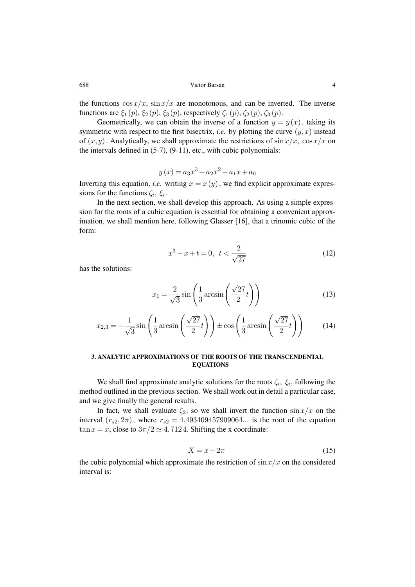the functions  $\cos x/x$ ,  $\sin x/x$  are monotonous, and can be inverted. The inverse functions are  $\xi_1(p)$ ,  $\xi_2(p)$ ,  $\xi_3(p)$ , respectively  $\zeta_1(p)$ ,  $\zeta_2(p)$ ,  $\zeta_3(p)$ .

Geometrically, we can obtain the inverse of a function  $y = y(x)$ , taking its symmetric with respect to the first bisectrix, *i.e.* by plotting the curve  $(y, x)$  instead of  $(x,y)$ . Analytically, we shall approximate the restrictions of  $\sin x/x$ ,  $\cos x/x$  on the intervals defined in (5-7), (9-11), etc., with cubic polynomials:

$$
y(x) = a_3x^3 + a_2x^2 + a_1x + a_0
$$

Inverting this equation, *i.e.* writing  $x = x(y)$ , we find explicit approximate expressions for the functions  $\zeta_i$ ,  $\xi_i$ .

In the next section, we shall develop this approach. As using a simple expression for the roots of a cubic equation is essential for obtaining a convenient approximation, we shall mention here, following Glasser [16], that a trinomic cubic of the form:

$$
x^3 - x + t = 0, \ t < \frac{2}{\sqrt{27}}
$$
 (12)

has the solutions:

$$
x_1 = \frac{2}{\sqrt{3}} \sin\left(\frac{1}{3}\arcsin\left(\frac{\sqrt{27}}{2}t\right)\right) \tag{13}
$$

$$
x_{2,3} = -\frac{1}{\sqrt{3}} \sin\left(\frac{1}{3}\arcsin\left(\frac{\sqrt{27}}{2}t\right)\right) \pm \cos\left(\frac{1}{3}\arcsin\left(\frac{\sqrt{27}}{2}t\right)\right) \tag{14}
$$

## 3. ANALYTIC APPROXIMATIONS OF THE ROOTS OF THE TRANSCENDENTAL EQUATIONS

We shall find approximate analytic solutions for the roots  $\zeta_i$ ,  $\xi_i$ , following the method outlined in the previous section. We shall work out in detail a particular case, and we give finally the general results.

In fact, we shall evaluate  $\zeta_2$ , so we shall invert the function  $\sin(x/x)$  on the interval  $(r_{s2},2\pi)$ , where  $r_{s2} = 4.493409457909064...$  is the root of the equation  $\tan x = x$ , close to  $3\pi/2 \approx 4.7124$ . Shifting the x coordinate:

$$
X = x - 2\pi \tag{15}
$$

the cubic polynomial which approximate the restriction of  $\sin(x/x)$  on the considered interval is: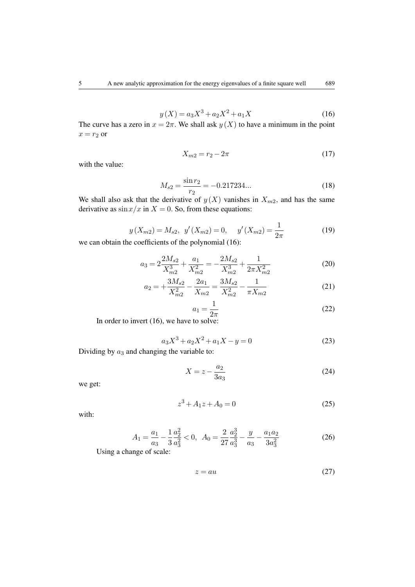$$
y(X) = a_3 X^3 + a_2 X^2 + a_1 X \tag{16}
$$

The curve has a zero in  $x = 2\pi$ . We shall ask  $y(X)$  to have a minimum in the point  $x = r_2$  or

$$
X_{m2} = r_2 - 2\pi
$$
 (17)

with the value:

$$
M_{s2} = \frac{\sin r_2}{r_2} = -0.217234...
$$
 (18)

We shall also ask that the derivative of  $y(X)$  vanishes in  $X_{m2}$ , and has the same derivative as  $\sin x/x$  in  $X = 0$ . So, from these equations:

$$
y(X_{m2}) = M_{s2}, y'(X_{m2}) = 0, y'(X_{m2}) = \frac{1}{2\pi}
$$
 (19)

we can obtain the coefficients of the polynomial (16):

$$
a_3 = 2\frac{2M_{s2}}{X_{m2}^3} + \frac{a_1}{X_{m2}^2} = -\frac{2M_{s2}}{X_{m2}^3} + \frac{1}{2\pi X_{m2}^2}
$$
(20)

$$
a_2 = +\frac{3M_{s2}}{X_{m2}^2} - \frac{2a_1}{X_{m2}} = \frac{3M_{s2}}{X_{m2}^2} - \frac{1}{\pi X_{m2}}
$$
(21)

$$
a_1 = \frac{1}{2\pi} \tag{22}
$$

In order to invert (16), we have to solve:

$$
a_3X^3 + a_2X^2 + a_1X - y = 0\tag{23}
$$

Dividing by  $a_3$  and changing the variable to:

$$
X = z - \frac{a_2}{3a_3}
$$
 (24)

we get:

$$
z^3 + A_1 z + A_0 = 0 \tag{25}
$$

with:

$$
A_1 = \frac{a_1}{a_3} - \frac{1}{3} \frac{a_2^2}{a_3^2} < 0, \quad A_0 = \frac{2}{27} \frac{a_2^3}{a_3^3} - \frac{y}{a_3} - \frac{a_1 a_2}{3 a_3^2} \tag{26}
$$

Using a change of scale:

$$
z = au \tag{27}
$$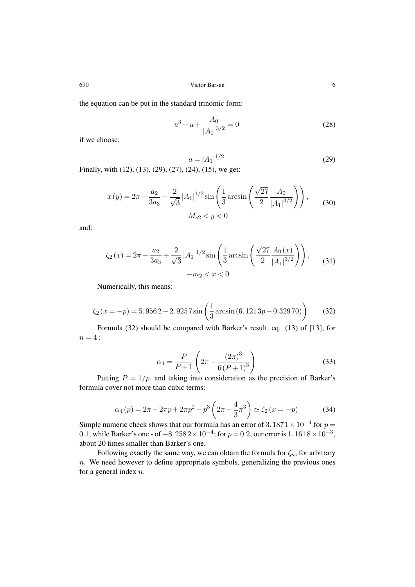$$
u^3 - u + \frac{A_0}{|A_1|^{3/2}} = 0
$$
\n(28)

if we choose:

$$
a = |A_1|^{1/2}
$$
 (29)  
29) (27) (24) (15) we get

Finally, with (12), (13), (29), (27), (24), (15), we get:

$$
x(y) = 2\pi - \frac{a_2}{3a_3} + \frac{2}{\sqrt{3}} |A_1|^{1/2} \sin\left(\frac{1}{3}\arcsin\left(\frac{\sqrt{27}}{2} \frac{A_0}{|A_1|^{3/2}}\right)\right),\qquad(30)
$$

$$
M_{s2} < y < 0
$$

and:

$$
\zeta_2(x) = 2\pi - \frac{a_2}{3a_3} + \frac{2}{\sqrt{3}} |A_1|^{1/2} \sin\left(\frac{1}{3}\arcsin\left(\frac{\sqrt{27}}{2} \frac{A_0(x)}{|A_1|^{3/2}}\right)\right),
$$
\n
$$
-m_2 < x < 0
$$
\n(31)

Numerically, this means:

$$
\zeta_2 (x = -p) = 5.9562 - 2.9257 \sin \left( \frac{1}{3} \arcsin (6.1213p - 0.32970) \right) \tag{32}
$$

Formula (32) should be compared with Barker's result, eq. (13) of [13], for  $n=4$ :

$$
\alpha_4 = \frac{P}{P+1} \left( 2\pi - \frac{(2\pi)^3}{6(P+1)^3} \right) \tag{33}
$$

Putting  $P = 1/p$ , and taking into consideration as the precision of Barker's formula cover not more than cubic terms:

$$
\alpha_4(p) = 2\pi - 2\pi p + 2\pi p^2 - p^3 \left(2\pi + \frac{4}{3}\pi^3\right) \simeq \zeta_2(x = -p) \tag{34}
$$

Simple numeric check shows that our formula has an error of 3.187  $1 \times 10^{-4}$  for  $p =$ 0.1, while Barker's one - of  $-8.2582 \times 10^{-4}$ ; for  $p = 0.2$ , our error is  $1.1618 \times 10^{-3}$ , about 20 times smaller than Barker's one.

Following exactly the same way, we can obtain the formula for  $\zeta_n$ , for arbitrary  $n.$  We need however to define appropriate symbols, generalizing the previous ones for a general index  $n$ .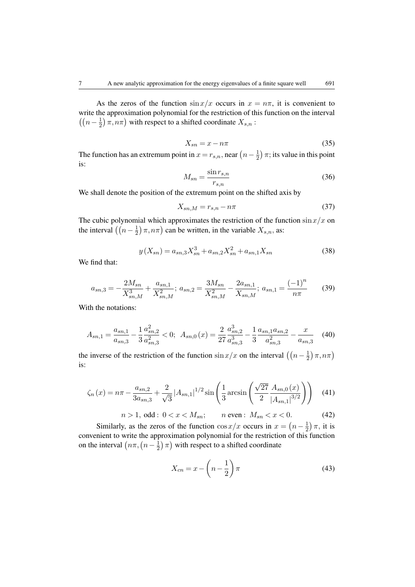As the zeros of the function  $\sin x/x$  occurs in  $x = n\pi$ , it is convenient to write the approximation polynomial for the restriction of this function on the interval  $\left(\left(n-\frac{1}{2}\right)\right)$  $(\frac{1}{2}) \pi, n\pi$ ) with respect to a shifted coordinate  $X_{s,n}$ :

$$
X_{sn} = x - n\pi \tag{35}
$$

The function has an extremum point in  $x = r_{s,n}$ , near  $\left(n - \frac{1}{2}\right)$  $(\frac{1}{2})\pi$ ; its value in this point is:

$$
M_{sn} = \frac{\sin r_{s,n}}{r_{s,n}}\tag{36}
$$

We shall denote the position of the extremum point on the shifted axis by

$$
X_{sn,M} = r_{s,n} - n\pi \tag{37}
$$

The cubic polynomial which approximates the restriction of the function  $\sin(x/x)$  on the interval  $\left(\left(n-\frac{1}{2}\right)\right)$  $(\frac{1}{2})\pi, n\pi$ ) can be written, in the variable  $X_{s,n}$ , as:

$$
y(X_{sn}) = a_{sn,3}X_{sn}^3 + a_{sn,2}X_{sn}^2 + a_{sn,1}X_{sn}
$$
 (38)

We find that:

$$
a_{sn,3} = -\frac{2M_{sn}}{X_{sn,M}^3} + \frac{a_{sn,1}}{X_{sn,M}^2}; \ a_{sn,2} = \frac{3M_{sn}}{X_{sn,M}^2} - \frac{2a_{sn,1}}{X_{sn,M}}; \ a_{sn,1} = \frac{(-1)^n}{n\pi} \tag{39}
$$

With the notations:

$$
A_{sn,1} = \frac{a_{sn,1}}{a_{sn,3}} - \frac{1}{3} \frac{a_{sn,2}^2}{a_{sn,3}^2} < 0; \ \ A_{sn,0}(x) = \frac{2}{27} \frac{a_{sn,2}^3}{a_{sn,3}^3} - \frac{1}{3} \frac{a_{sn,1}a_{sn,2}}{a_{sn,3}^2} - \frac{x}{a_{sn,3}} \tag{40}
$$

the inverse of the restriction of the function  $\sin(x/x)$  on the interval  $\left(\left(n-\frac{1}{2}\right)\right)$  $\frac{1}{2}$ )  $\pi$ ,  $n\pi$ ) is:

$$
\zeta_n(x) = n\pi - \frac{a_{sn,2}}{3a_{sn,3}} + \frac{2}{\sqrt{3}} |A_{sn,1}|^{1/2} \sin\left(\frac{1}{3}\arcsin\left(\frac{\sqrt{27}}{2}\frac{A_{sn,0}(x)}{|A_{sn,1}|^{3/2}}\right)\right)
$$
(41)

$$
n > 1, \text{ odd}: 0 < x < M_{sn}; \qquad n \text{ even}: M_{sn} < x < 0. \tag{42}
$$

Similarly, as the zeros of the function  $\cos x/x$  occurs in  $x = (n - \frac{1}{2})$  $(\frac{1}{2})\pi$ , it is convenient to write the approximation polynomial for the restriction of this function on the interval  $(n\pi, (n-\frac{1}{2}))$  $(\frac{1}{2})\pi$ ) with respect to a shifted coordinate

$$
X_{cn} = x - \left(n - \frac{1}{2}\right)\pi\tag{43}
$$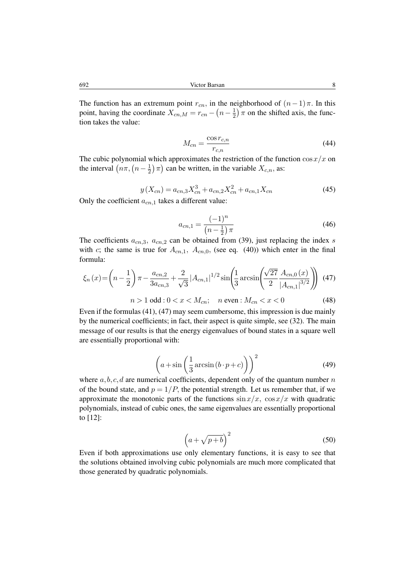The function has an extremum point  $r_{cn}$ , in the neighborhood of  $(n-1)\pi$ . In this point, having the coordinate  $X_{cn,M} = r_{cn} - \left(n - \frac{1}{2}\right)$  $(\frac{1}{2})$   $\pi$  on the shifted axis, the function takes the value:

$$
M_{cn} = \frac{\cos r_{c,n}}{r_{c,n}}\tag{44}
$$

The cubic polynomial which approximates the restriction of the function  $\cos x/x$  on the interval  $(n\pi, (n-\frac{1}{2}))$  $(\frac{1}{2})\pi$ ) can be written, in the variable  $X_{c,n}$ , as:

$$
y(X_{cn}) = a_{cn,3}X_{cn}^3 + a_{cn,2}X_{cn}^2 + a_{cn,1}X_{cn}
$$
(45)

Only the coefficient  $a_{cn,1}$  takes a different value:

$$
a_{cn,1} = \frac{(-1)^n}{\left(n - \frac{1}{2}\right)\pi} \tag{46}
$$

The coefficients  $a_{cn,3}$ ,  $a_{cn,2}$  can be obtained from (39), just replacing the index s with c; the same is true for  $A_{cn,1}$ ,  $A_{cn,0}$ , (see eq. (40)) which enter in the final formula:

$$
\xi_n(x) = \left(n - \frac{1}{2}\right)\pi - \frac{a_{cn,2}}{3a_{cn,3}} + \frac{2}{\sqrt{3}}|A_{cn,1}|^{1/2}\sin\left(\frac{1}{3}\arcsin\left(\frac{\sqrt{27}}{2}\frac{A_{cn,0}(x)}{|A_{cn,1}|^{3/2}}\right)\right)
$$
(47)  

$$
n > 1 \text{ odd}: 0 < x < M_{cn}; \quad n \text{ even}: M_{cn} < x < 0
$$
 (48)

Even if the formulas (41), (47) may seem cumbersome, this impression is due mainly by the numerical coefficients; in fact, their aspect is quite simple, see (32). The main message of our results is that the energy eigenvalues of bound states in a square well are essentially proportional with:

$$
\left(a + \sin\left(\frac{1}{3}\arcsin(b \cdot p + c)\right)\right)^2\tag{49}
$$

where  $a, b, c, d$  are numerical coefficients, dependent only of the quantum number n of the bound state, and  $p = 1/P$ , the potential strength. Let us remember that, if we approximate the monotonic parts of the functions  $\sin x/x$ ,  $\cos x/x$  with quadratic polynomials, instead of cubic ones, the same eigenvalues are essentially proportional to [12]:

$$
\left(a+\sqrt{p+b}\right)^2\tag{50}
$$

Even if both approximations use only elementary functions, it is easy to see that the solutions obtained involving cubic polynomials are much more complicated that those generated by quadratic polynomials.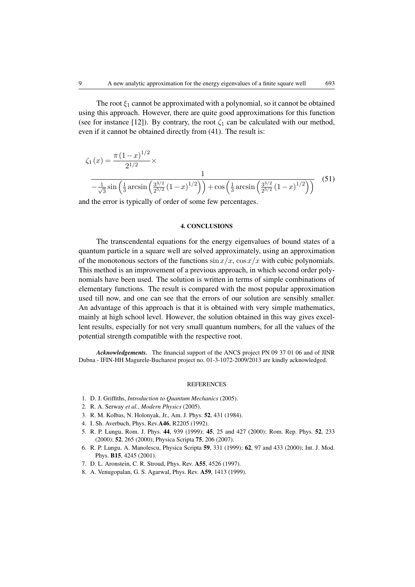The root  $\xi_1$  cannot be approximated with a polynomial, so it cannot be obtained using this approach. However, there are quite good approximations for this function (see for instance [12]). By contrary, the root  $\zeta_1$  can be calculated with our method, even if it cannot be obtained directly from (41). The result is:

$$
\zeta_1(x) = \frac{\pi (1-x)^{1/2}}{2^{1/2}} \times \frac{1}{-\frac{1}{\sqrt{3}}\sin\left(\frac{1}{3}\arcsin\left(\frac{3^{3/2}}{2^{5/2}}(1-x)^{1/2}\right)\right) + \cos\left(\frac{1}{3}\arcsin\left(\frac{3^{3/2}}{2^{5/2}}(1-x)^{1/2}\right)\right)}
$$
(51)

and the error is typically of order of some few percentages.

### 4. CONCLUSIONS

The transcendental equations for the energy eigenvalues of bound states of a quantum particle in a square well are solved approximately, using an approximation of the monotonous sectors of the functions  $\sin(x)/x$ ,  $\cos(x)/x$  with cubic polynomials. This method is an improvement of a previous approach, in which second order polynomials have been used. The solution is written in terms of simple combinations of elementary functions. The result is compared with the most popular approximation used till now, and one can see that the errors of our solution are sensibly smaller. An advantage of this approach is that it is obtained with very simple mathematics, mainly at high school level. However, the solution obtained in this way gives excellent results, especially for not very small quantum numbers, for all the values of the potential strength compatible with the respective root.

*Acknowledgements.* The financial support of the ANCS project PN 09 37 01 06 and of JINR Dubna - IFIN-HH Magurele-Bucharest project no. 01-3-1072-2009/2013 are kindly acknowledged.

#### **REFERENCES**

- 1. D. J. Griffiths, *Introduction to Quantum Mechanics* (2005).
- 2. R. A. Serway *et al.*, *Modern Physics* (2005).
- 3. R. M. Kolbas, N. Holonyak, Jr., Am. J. Phys. 52, 431 (1984).
- 4. I. Sh. Averbuch, Phys. Rev.A46, R2205 (1992).
- 5. R. P. Lungu, Rom. J. Phys. 44, 939 (1999); 45, 25 and 427 (2000); Rom. Rep. Phys. 52, 233 (2000); 52, 265 (2000); Physica Scripta 75, 206 (2007).
- 6. R. P. Lungu, A. Manolescu, Physica Scripta 59, 331 (1999); 62, 97 and 433 (2000); Int. J. Mod. Phys. B15, 4245 (2001).
- 7. D. L. Aronstein, C. R. Stroud, Phys. Rev. A55, 4526 (1997).
- 8. A. Venugopalan, G. S. Agarwal, Phys. Rev. A59, 1413 (1999).